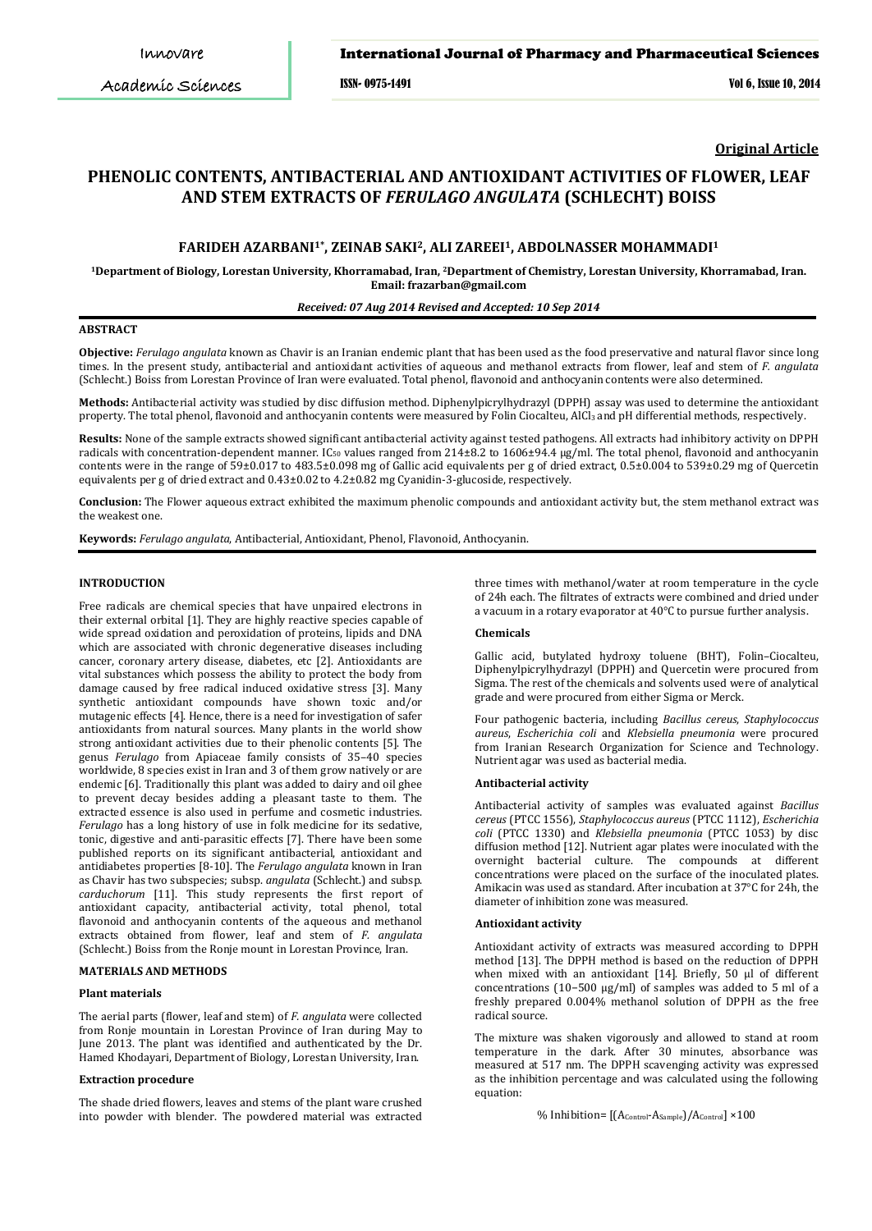Academic Sciences

### International Journal of Pharmacy and Pharmaceutical Sciences

ISSN- 0975-1491 Vol 6, Issue 10, 2014

**Original Article**

# **PHENOLIC CONTENTS, ANTIBACTERIAL AND ANTIOXIDANT ACTIVITIES OF FLOWER, LEAF AND STEM EXTRACTS OF** *FERULAGO ANGULATA* **(SCHLECHT) BOISS**

# **FARIDEH AZARBANI1\*, ZEINAB SAKI2, ALI ZAREEI1, ABDOLNASSER MOHAMMADI1**

**1Department of Biology, Lorestan University, Khorramabad, Iran, 2 Department of Chemistry, Lorestan University, Khorramabad, Iran. Email: frazarban@gmail.com**

### *Received: 07 Aug 2014 Revised and Accepted: 10 Sep 2014*

### **ABSTRACT**

**Objective:** *Ferulago angulata* known as Chavir is an Iranian endemic plant that has been used as the food preservative and natural flavor since long times. In the present study, antibacterial and antioxidant activities of aqueous and methanol extracts from flower, leaf and stem of *F. angulata* (Schlecht.) Boiss from Lorestan Province of Iran were evaluated. Total phenol, flavonoid and anthocyanin contents were also determined.

**Methods:** Antibacterial activity was studied by disc diffusion method. Diphenylpicrylhydrazyl (DPPH) assay was used to determine the antioxidant property. The total phenol, flavonoid and anthocyanin contents were measured by Folin Ciocalteu, AlCl<sub>3</sub> and pH differential methods, respectively.

**Results:** None of the sample extracts showed significant antibacterial activity against tested pathogens. All extracts had inhibitory activity on DPPH radicals with concentration-dependent manner. IC<sub>50</sub> values ranged from 214±8.2 to 1606±94.4 µg/ml. The total phenol, flavonoid and anthocyanin contents were in the range of 59±0.017 to 483.5±0.098 mg of Gallic acid equivalents per g of dried extract, 0.5±0.004 to 539±0.29 mg of Quercetin equivalents per g of dried extract and 0.43±0.02 to 4.2±0.82 mg Cyanidin-3-glucoside, respectively.

**Conclusion:** The Flower aqueous extract exhibited the maximum phenolic compounds and antioxidant activity but, the stem methanol extract was the weakest one.

**Keywords:** *Ferulago angulata*, Antibacterial, Antioxidant, Phenol, Flavonoid, Anthocyanin.

### **INTRODUCTION**

Free radicals are chemical species that have unpaired electrons in their external orbital [1]. They are highly reactive species capable of wide spread oxidation and peroxidation of proteins, lipids and DNA which are associated with chronic degenerative diseases including cancer, coronary artery disease, diabetes, etc [2]. Antioxidants are vital substances which possess the ability to protect the body from damage caused by free radical induced oxidative stress [3]. Many synthetic antioxidant compounds have shown toxic and/or mutagenic effects [4]. Hence, there is a need for investigation of safer antioxidants from natural sources. Many plants in the world show strong antioxidant activities due to their phenolic contents [5]. The genus *Ferulago* from Apiaceae family consists of 35–40 species worldwide, 8 species exist in Iran and 3 of them grow natively or are endemic [6]. Traditionally this plant was added to dairy and oil ghee to prevent decay besides adding a pleasant taste to them. The extracted essence is also used in perfume and cosmetic industries. *Ferulago* has a long history of use in folk medicine for its sedative, tonic, digestive and anti-parasitic effects [7]. There have been some published reports on its significant antibacterial, antioxidant and antidiabetes properties [8-10]. The *Ferulago angulata* known in Iran as Chavir has two subspecies; subsp. *angulata* (Schlecht.) and subsp. *carduchorum* [11]. This study represents the first report of antioxidant capacity, antibacterial activity, total phenol, total flavonoid and anthocyanin contents of the aqueous and methanol extracts obtained from flower, leaf and stem of *F. angulata* (Schlecht.) Boiss from the Ronje mount in Lorestan Province, Iran.

### **MATERIALS AND METHODS**

### **Plant materials**

The aerial parts (flower, leaf and stem) of *F. angulata* were collected from Ronje mountain in Lorestan Province of Iran during May to June 2013. The plant was identified and authenticated by the Dr. Hamed Khodayari, Department of Biology, Lorestan University, Iran.

## **Extraction procedure**

The shade dried flowers, leaves and stems of the plant ware crushed into powder with blender. The powdered material was extracted three times with methanol/water at room temperature in the cycle of 24h each. The filtrates of extracts were combined and dried under a vacuum in a rotary evaporator at 40°C to pursue further analysis.

### **Chemicals**

Gallic acid, butylated hydroxy toluene (BHT), Folin–Ciocalteu, Diphenylpicrylhydrazyl (DPPH) and Quercetin were procured from Sigma. The rest of the chemicals and solvents used were of analytical grade and were procured from either Sigma or Merck.

Four pathogenic bacteria, including *Bacillus cereus*, *Staphylococcus aureus*, *Escherichia coli* and *Klebsiella pneumonia* were procured from Iranian Research Organization for Science and Technology. Nutrient agar was used as bacterial media.

#### **Antibacterial activity**

Antibacterial activity of samples was evaluated against *Bacillus cereus* (PTCC 1556), *Staphylococcus aureus* (PTCC 1112), *Escherichia coli* (PTCC 1330) and *Klebsiella pneumonia* (PTCC 1053) by disc diffusion method [12]. Nutrient agar plates were inoculated with the overnight bacterial culture. The compounds at different concentrations were placed on the surface of the inoculated plates. Amikacin was used as standard. After incubation at 37°C for 24h, the diameter of inhibition zone was measured.

#### **Antioxidant activity**

Antioxidant activity of extracts was measured according to DPPH method [13]. The DPPH method is based on the reduction of DPPH when mixed with an antioxidant [14]. Briefly, 50 μl of different concentrations (10−500 μg/ml) of samples was added to 5 ml of a freshly prepared  $0.004\%$  methanol solution of DPPH as the free radical source.

The mixture was shaken vigorously and allowed to stand at room temperature in the dark. After 30 minutes, absorbance was measured at 517 nm. The DPPH scavenging activity was expressed as the inhibition percentage and was calculated using the following equation:

% Inhibition=  $[(A_{\text{Control}}-A_{\text{Sample}})/A_{\text{Control}}] \times 100$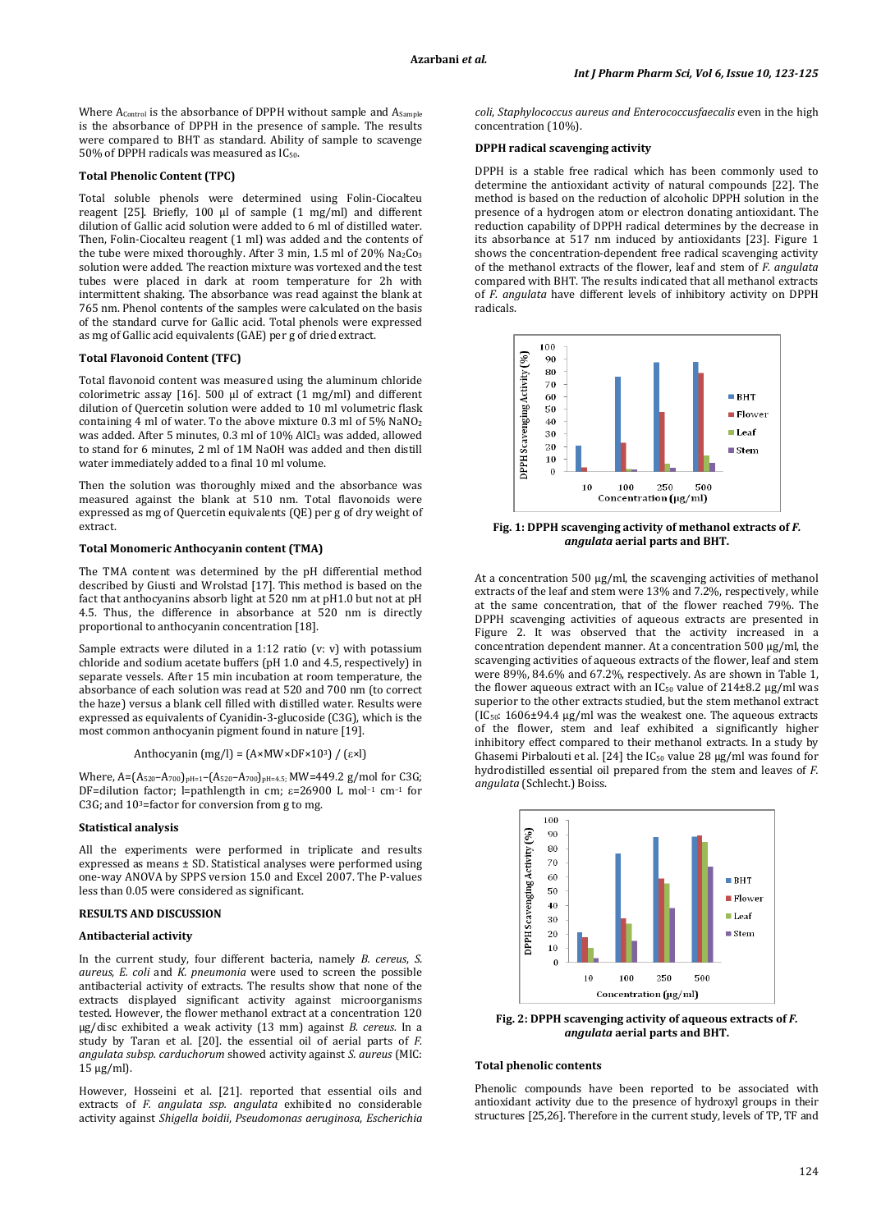Where A<sub>Control</sub> is the absorbance of DPPH without sample and A<sub>Sample</sub> is the absorbance of DPPH in the presence of sample. The results were compared to BHT as standard. Ability of sample to scavenge 50% of DPPH radicals was measured as IC50.

### **Total Phenolic Content (TPC)**

Total soluble phenols were determined using Folin-Ciocalteu reagent [25]. Briefly, 100 µl of sample (1 mg/ml) and different dilution of Gallic acid solution were added to 6 ml of distilled water. Then, Folin-Ciocalteu reagent (1 ml) was added and the contents of the tube were mixed thoroughly. After 3 min, 1.5 ml of 20% Na2Co3 solution were added. The reaction mixture was vortexed and the test tubes were placed in dark at room temperature for 2h with intermittent shaking. The absorbance was read against the blank at 765 nm. Phenol contents of the samples were calculated on the basis of the standard curve for Gallic acid. Total phenols were expressed as mg of Gallic acid equivalents (GAE) per g of dried extract.

# **Total Flavonoid Content (TFC)**

Total flavonoid content was measured using the aluminum chloride colorimetric assay [16]. 500 μl of extract (1 mg/ml) and different dilution of Quercetin solution were added to 10 ml volumetric flask containing 4 ml of water. To the above mixture 0.3 ml of 5% NaNO2 was added. After 5 minutes, 0.3 ml of 10% AlCl<sub>3</sub> was added, allowed to stand for 6 minutes, 2 ml of 1M NaOH was added and then distill water immediately added to a final 10 ml volume.

Then the solution was thoroughly mixed and the absorbance was measured against the blank at 510 nm. Total flavonoids were expressed as mg of Quercetin equivalents (QE) per g of dry weight of extract.

### **Total Monomeric Anthocyanin content (TMA)**

The TMA content was determined by the pH differential method described by Giusti and Wrolstad [17]. This method is based on the fact that anthocyanins absorb light at 520 nm at pH1.0 but not at pH 4.5. Thus, the difference in absorbance at 520 nm is directly proportional to anthocyanin concentration [18].

Sample extracts were diluted in a 1:12 ratio (v: v) with potassium chloride and sodium acetate buffers (pH 1.0 and 4.5, respectively) in separate vessels. After 15 min incubation at room temperature, the absorbance of each solution was read at 520 and 700 nm (to correct the haze) versus a blank cell filled with distilled water. Results were expressed as equivalents of Cyanidin-3-glucoside (C3G), which is the most common anthocyanin pigment found in nature [19].

$$
Anthocyanin (mg/l) = (A \times MW \times DF \times 10^3) / (\epsilon \times l)
$$

Where, A=(A520–A700)pH=1–(A520–A700)pH=4.5; MW=449.2 g/mol for C3G; DF=dilution factor; l=pathlength in cm;  $\varepsilon$ =26900 L mol<sup>-1</sup> cm<sup>-1</sup> for C3G; and 103 =factor for conversion from g to mg.

### **Statistical analysis**

All the experiments were performed in triplicate and results expressed as means ± SD. Statistical analyses were performed using one-way ANOVA by SPPS version 15.0 and Excel 2007. The P-values less than 0.05 were considered as significant.

### **RESULTS AND DISCUSSION**

### **Antibacterial activity**

In the current study, four different bacteria, namely *B. cereus*, *S. aureus*, *E. coli* and *K. pneumonia* were used to screen the possible antibacterial activity of extracts. The results show that none of the extracts displayed significant activity against microorganisms tested. However, the flower methanol extract at a concentration 120 µg/disc exhibited a weak activity (13 mm) against *B. cereus.* In a study by Taran et al. [20]. the essential oil of aerial parts of *F. angulata subsp. carduchorum* showed activity against *S. aureus* (MIC: 15 μg/ml).

However, Hosseini et al. [21]. reported that essential oils and extracts of *F. angulata ssp. angulata* exhibited no considerable activity against *Shigella boidii*, *Pseudomonas aeruginosa*, *Escherichia*  *coli*, *Staphylococcus aureus and Enterococcusfaecalis* even in the high concentration (10%).

### **DPPH radical scavenging activity**

DPPH is a stable free radical which has been commonly used to determine the antioxidant activity of natural compounds [22]. The method is based on the reduction of alcoholic DPPH solution in the presence of a hydrogen atom or electron donating antioxidant. The reduction capability of DPPH radical determines by the decrease in its absorbance at 517 nm induced by antioxidants [23]. Figure 1 shows the concentration-dependent free radical scavenging activity of the methanol extracts of the flower, leaf and stem of *F. angulata* compared with BHT. The results indicated that all methanol extracts of *F. angulata* have different levels of inhibitory activity on DPPH radicals.



**Fig. 1: DPPH scavenging activity of methanol extracts of** *F. angulata* **aerial parts and BHT.**

At a concentration 500 µg/ml, the scavenging activities of methanol extracts of the leaf and stem were 13% and 7.2%, respectively, while at the same concentration, that of the flower reached 79%. The DPPH scavenging activities of aqueous extracts are presented in Figure 2. It was observed that the activity increased in a concentration dependent manner. At a concentration 500 µg/ml, the scavenging activities of aqueous extracts of the flower, leaf and stem were 89%, 84.6% and 67.2%, respectively. As are shown in Table 1, the flower aqueous extract with an  $IC_{50}$  value of  $214\pm8.2$  µg/ml was superior to the other extracts studied, but the stem methanol extract  $(IC<sub>50</sub>: 1606±94.4 µg/ml was the weakest one. The aqueous extracts$ of the flower, stem and leaf exhibited a significantly higher inhibitory effect compared to their methanol extracts. In a study by Ghasemi Pirbalouti et al. [24] the  $IC_{50}$  value 28  $\mu$ g/ml was found for hydrodistilled essential oil prepared from the stem and leaves of *F. angulata* (Schlecht.) Boiss.



**Fig. 2: DPPH scavenging activity of aqueous extracts of** *F. angulata* **aerial parts and BHT.**

### **Total phenolic contents**

Phenolic compounds have been reported to be associated with antioxidant activity due to the presence of hydroxyl groups in their structures [25,26]. Therefore in the current study, levels of TP, TF and